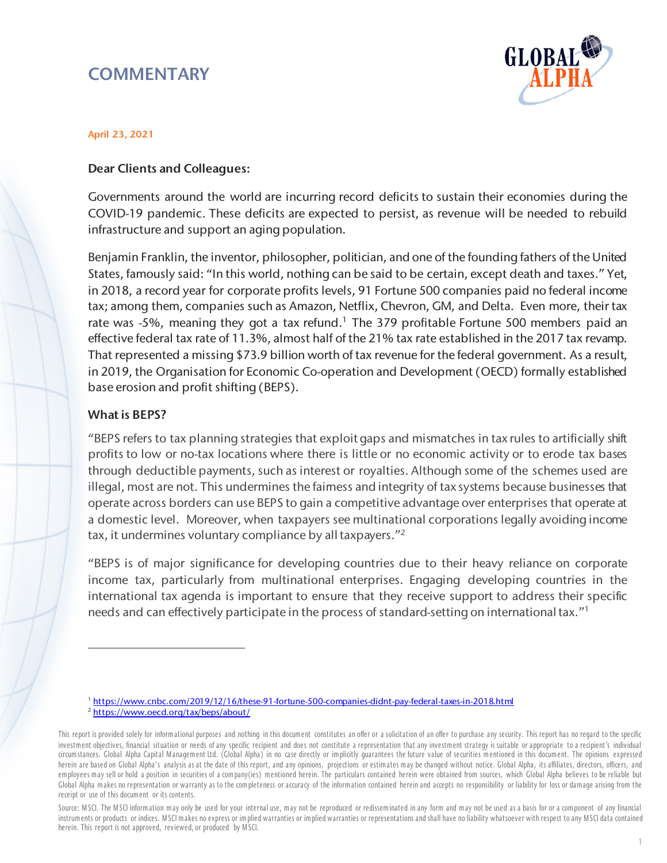# **COMMENTARY**



#### April 23, 2021

### Dear Clients and Colleagues:

Governments around the world are incurring record deficits to sustain their economies during the COVID-19 pandemic. These deficits are expected to persist, as revenue will be needed to rebuild infrastructure and support an aging population.

Benjamin Franklin, the inventor, philosopher, politician, and one of the founding fathers of the United States, famously said: "In this world, nothing can be said to be certain, except death and taxes." Yet, in 2018, a record year for corporate profits levels, 91 Fortune 500 companies paid no federal income tax; among them, companies such as Amazon, Netflix, Chevron, GM, and Delta. Even more, their tax rate was -5%, meaning they got a tax refund.<sup>1</sup> The 379 profitable Fortune 500 members paid an effective federal tax rate of 11.3%, almost half of the 21% tax rate established in the 2017 tax revamp. That represented a missing \$73.9 billion worth of tax revenue for the federal government. As a result, in 2019, the Organisation for Economic Co-operation and Development (OECD) formally established base erosion and profit shifting (BEPS).

### What is BEPS?

 $\overline{a}$ 

"BEPS refers to tax planning strategies that exploit gaps and mismatches in tax rules to artificially shift profits to low or no-tax locations where there is little or no economic activity or to erode tax bases through deductible payments, such as interest or royalties. Although some of the schemes used are illegal, most are not. This undermines the fairness and integrity of tax systems because businesses that operate across borders can use BEPS to gain a competitive advantage over enterprises that operate at a domestic level. Moreover, when taxpayers see multinational corporations legally avoiding income tax, it undermines voluntary compliance by all taxpayers."2

"BEPS is of major significance for developing countries due to their heavy reliance on corporate income tax, particularly from multinational enterprises. Engaging developing countries in the international tax agenda is important to ensure that they receive support to address their specific needs and can effectively participate in the process of standard-setting on international tax."1

<sup>1</sup> <https://www.cnbc.com/2019/12/16/these-91-fortune-500-companies-didnt-pay-federal-taxes-in-2018.html> <sup>2</sup> <https://www.oecd.org/tax/beps/about/>

This report is provided solely for informational purposes and nothing in this document constitutes an offer or a solicitation of an offer to purchase any security. This report has no regard to the specific investm ent objectives, financial situation or needs of any specific recipient and does not constitute a representation that any investm ent strategy is suitable or appropriate to a recipient's individual circum stances. Global Alpha Capital M anagem ent Ltd. (Global Alpha) in no case directly or im plicitly guarantees the future value of securities m entioned in this docum ent. The opinions expressed herein are based on Global Alpha's analysis as at the date of this report, and any opinions, projections or estim ates m ay be changed without notice. Global Alpha, its affiliates, directors, officers, and em ployees m ay sell or hold a position in securities of a com pany(ies) m entioned herein. The particulars contained herein were obtained from sources, which Global Alpha believes to be reliable but Global Alpha makes no representation or warranty as to the completeness or accuracy of the information contained herein and accepts no responsibility or liability for loss or damage arising from the receipt or use of this docum ent or its contents.

Source: MSCI. The MSCI information may only be used for your internal use, may not be reproduced or redisseminated in any form and may not be used as a basis for or a component of any financial instrum ents or products or indices. M SCI m akes no express or im plied warranties or im plied warranties or representations and shall have no liability whatsoever with respect to any M SCI data contained herein. This report is not approved, reviewed, or produced by MSCI.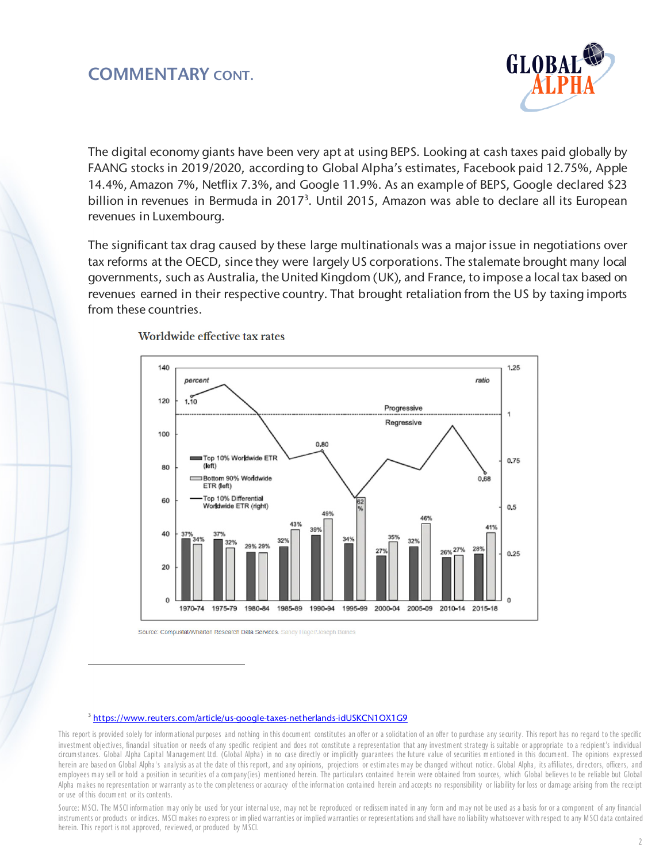## COMMENTARY CONT.



The digital economy giants have been very apt at using BEPS. Looking at cash taxes paid globally by FAANG stocks in 2019/2020, according to Global Alpha's estimates, Facebook paid 12.75%, Apple 14.4%, Amazon 7%, Netflix 7.3%, and Google 11.9%. As an example of BEPS, Google declared \$23 billion in revenues in Bermuda in 2017<sup>3</sup>. Until 2015, Amazon was able to declare all its European revenues in Luxembourg.

The significant tax drag caused by these large multinationals was a major issue in negotiations over tax reforms at the OECD, since they were largely US corporations. The stalemate brought many local governments, such as Australia, the United Kingdom (UK), and France, to impose a local tax based on revenues earned in their respective country. That brought retaliation from the US by taxing imports from these countries.



Worldwide effective tax rates

Source: Compustat/Wharton Research Data Services, Sandy Hager/Joseph Baines

 $\overline{a}$ 

#### <sup>3</sup> <https://www.reuters.com/article/us-google-taxes-netherlands-idUSKCN1OX1G9>

This report is provided solely for informational purposes and nothing in this document constitutes an offer or a solicitation of an offer to purchase any security. This report has no regard to the specific investm ent objectives, financial situation or needs of any specific recipient and does not constitute a representation that any investm ent strategy is suitable or appropriate to a recipient's individual circum stances. Global Alpha Capital M anagem ent Ltd. (Global Alpha) in no case directly or im plicitly guarantees the future value of securities m entioned in this docum ent. The opinions expressed herein are based on Global Alpha's analysis as at the date of this report, and any opinions, projections or estimates may be changed without notice. Global Alpha, its affiliates, directors, officers, and em ployees may sell or hold a position in securities of a company(ies) mentioned herein. The particulars contained herein were obtained from sources, which Global believes to be reliable but Global Alpha makes no representation or warranty as to the completeness or accuracy of the information contained herein and accepts no responsibility or liability for loss or damage arising from the receipt or use of this docum ent or its contents.

Source: MSCI. The MSCI information may only be used for your internal use, may not be reproduced or redisseminated in any form and may not be used as a basis for or a component of any financial instrum ents or products or indices. M SCI m akes no express or im plied warranties or im plied warranties or representations and shall have no liability whatsoever with respect to any M SCI data contained herein. This report is not approved, reviewed, or produced by MSCI.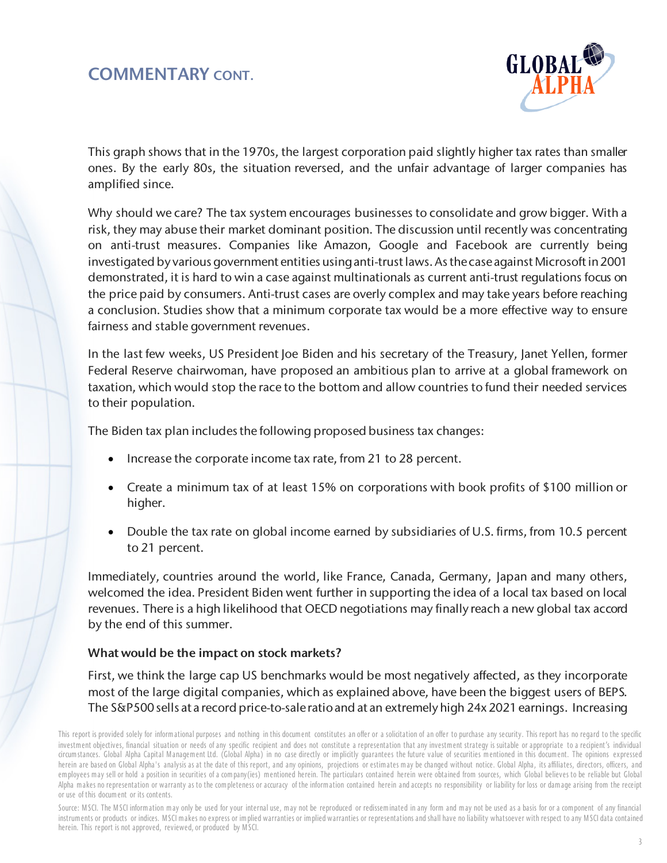## COMMENTARY CONT.



This graph shows that in the 1970s, the largest corporation paid slightly higher tax rates than smaller ones. By the early 80s, the situation reversed, and the unfair advantage of larger companies has amplified since.

Why should we care? The tax system encourages businesses to consolidate and grow bigger. With a risk, they may abuse their market dominant position. The discussion until recently was concentrating on anti-trust measures. Companies like Amazon, Google and Facebook are currently being investigated by various government entities using anti-trust laws. As the case against Microsoft in 2001 demonstrated, it is hard to win a case against multinationals as current anti-trust regulations focus on the price paid by consumers. Anti-trust cases are overly complex and may take years before reaching a conclusion. Studies show that a minimum corporate tax would be a more effective way to ensure fairness and stable government revenues.

In the last few weeks, US President Joe Biden and his secretary of the Treasury, Janet Yellen, former Federal Reserve chairwoman, have proposed an ambitious plan to arrive at a global framework on taxation, which would stop the race to the bottom and allow countries to fund their needed services to their population.

The Biden tax plan includes the following proposed business tax changes:

- Increase the corporate income tax rate, from 21 to 28 percent.
- Create a minimum tax of at least 15% on corporations with book profits of \$100 million or higher.
- Double the tax rate on global income earned by subsidiaries of U.S. firms, from 10.5 percent to 21 percent.

Immediately, countries around the world, like France, Canada, Germany, Japan and many others, welcomed the idea. President Biden went further in supporting the idea of a local tax based on local revenues. There is a high likelihood that OECD negotiations may finally reach a new global tax accord by the end of this summer.

### What would be the impact on stock markets?

First, we think the large cap US benchmarks would be most negatively affected, as they incorporate most of the large digital companies, which as explained above, have been the biggest users of BEPS. The S&P500 sells at a record price-to-sale ratio and at an extremely high 24x 2021 earnings. Increasing

This report is provided solely for informational purposes and nothing in this document constitutes an offer or a solicitation of an offer to purchase any security. This report has no regard to the specific investm ent objectives, financial situation or needs of any specific recipient and does not constitute a representation that any investm ent strategy is suitable or appropriate to a recipient's individual circum stances. Global Alpha Capital M anagem ent Ltd. (Global Alpha) in no case directly or im plicitly guarantees the future value of securities m entioned in this docum ent. The opinions expressed herein are based on Global Alpha's analysis as at the date of this report, and any opinions, projections or estim ates m ay be changed without notice. Global Alpha, its affiliates, directors, officers, and em ployees m ay sell or hold a position in securities of a com pany(ies) m entioned herein. The particulars contained herein were obtained from sources, which Global believes to be reliable but Global Alpha makes no representation or warranty as to the completeness or accuracy of the information contained herein and accepts no responsibility or liability for loss or damage arising from the receipt or use of this docum ent or its contents.

Source: MSCI. The MSCI information may only be used for your internal use, may not be reproduced or redisseminated in any form and may not be used as a basis for or a component of any financial instruments or products or indices. MSCI makes no express or implied warranties or implied warranties or representations and shall have no liability whatsoever with respect to any MSCI data contained herein. This report is not approved, reviewed, or produced by MSCI.